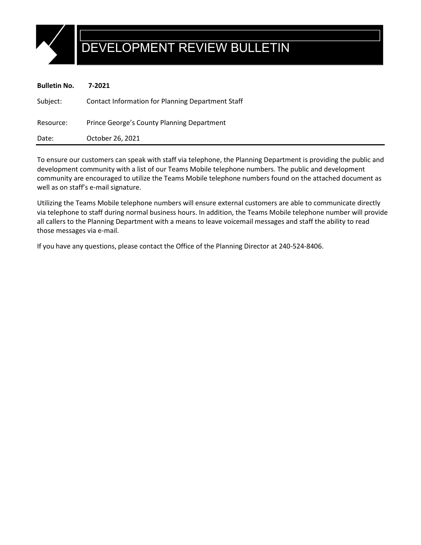

## DEVELOPMENT REVIEW BULLETIN

| <b>Bulletin No.</b> | 7-2021                                                   |
|---------------------|----------------------------------------------------------|
| Subject:            | <b>Contact Information for Planning Department Staff</b> |
| Resource:           | Prince George's County Planning Department               |
| Date:               | October 26, 2021                                         |

To ensure our customers can speak with staff via telephone, the Planning Department is providing the public and development community with a list of our Teams Mobile telephone numbers. The public and development community are encouraged to utilize the Teams Mobile telephone numbers found on the attached document as well as on staff's e-mail signature.

Utilizing the Teams Mobile telephone numbers will ensure external customers are able to communicate directly via telephone to staff during normal business hours. In addition, the Teams Mobile telephone number will provide all callers to the Planning Department with a means to leave voicemail messages and staff the ability to read those messages via e-mail.

If you have any questions, please contact the Office of the Planning Director at 240-524-8406.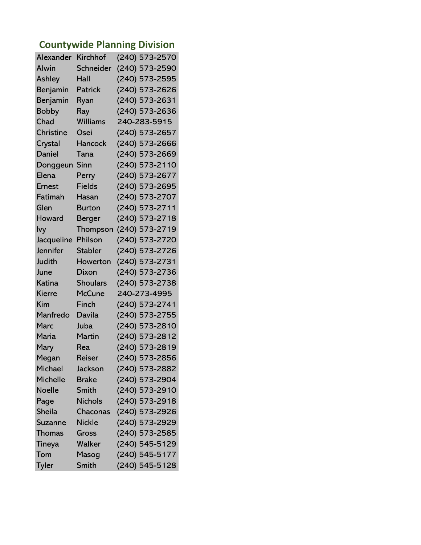## **Countywide Planning Division**

| Alexander       | <b>Kirchhof</b> | (240) 573-2570 |
|-----------------|-----------------|----------------|
| Alwin           | Schneider       | (240) 573-2590 |
| Ashley          | Hall            | (240) 573-2595 |
| Benjamin        | <b>Patrick</b>  | (240) 573-2626 |
| Benjamin        | Ryan            | (240) 573-2631 |
| <b>Bobby</b>    | Ray             | (240) 573-2636 |
| Chad            | Williams        | 240-283-5915   |
| Christine       | Osei            | (240) 573-2657 |
| Crystal         | Hancock         | (240) 573-2666 |
| Daniel          | Tana            | (240) 573-2669 |
| Donggeun        | Sinn            | (240) 573-2110 |
| Elena           | Perry           | (240) 573-2677 |
| <b>Ernest</b>   | <b>Fields</b>   | (240) 573-2695 |
| Fatimah         | Hasan           | (240) 573-2707 |
| Glen            | <b>Burton</b>   | (240) 573-2711 |
| Howard          | <b>Berger</b>   | (240) 573-2718 |
| lvy             | Thompson        | (240) 573-2719 |
| Jacqueline      | Philson         | (240) 573-2720 |
| Jennifer        | <b>Stabler</b>  | (240) 573-2726 |
| <b>Judith</b>   | Howerton        | (240) 573-2731 |
| June            | Dixon           | (240) 573-2736 |
| Katina          | <b>Shoulars</b> | (240) 573-2738 |
| Kierre          | <b>McCune</b>   | 240-273-4995   |
| Kim             | Finch           | (240) 573-2741 |
| Manfredo        | Davila          | (240) 573-2755 |
| Marc            | Juba            | (240) 573-2810 |
| Maria           | Martin          | (240) 573-2812 |
| Mary            | Rea             | (240) 573-2819 |
| Megan           | Reiser          | (240) 573-2856 |
| Michael         | Jackson         | (240) 573-2882 |
| <b>Michelle</b> | <b>Brake</b>    | (240) 573-2904 |
| <b>Noelle</b>   | <b>Smith</b>    | (240) 573-2910 |
| Page            | <b>Nichols</b>  | (240) 573-2918 |
| <b>Sheila</b>   | Chaconas        | (240) 573-2926 |
| Suzanne         | <b>Nickle</b>   | (240) 573-2929 |
| <b>Thomas</b>   | Gross           | (240) 573-2585 |
| Tineya          | Walker          | (240) 545-5129 |
| Tom             | Masog           | (240) 545-5177 |
| <b>Tyler</b>    | Smith           | (240) 545-5128 |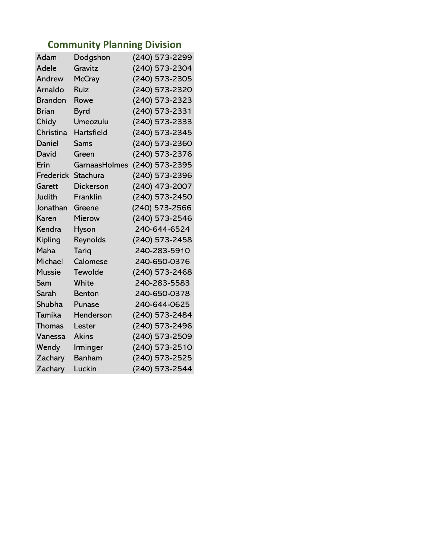## **Community Planning Division**

| Adam           | Dodgshon          | (240) 573-2299 |
|----------------|-------------------|----------------|
| Adele          | Gravitz           | (240) 573-2304 |
| Andrew         | <b>McCray</b>     | (240) 573-2305 |
| Arnaldo        | Ruiz              | (240) 573-2320 |
| <b>Brandon</b> | Rowe              | (240) 573-2323 |
| <b>Brian</b>   | <b>Byrd</b>       | (240) 573-2331 |
| Chidy          | Umeozulu          | (240) 573-2333 |
| Christina      | <b>Hartsfield</b> | (240) 573-2345 |
| Daniel         | <b>Sams</b>       | (240) 573-2360 |
| David          | Green             | (240) 573-2376 |
| Erin           | GarnaasHolmes     | (240) 573-2395 |
| Frederick      | <b>Stachura</b>   | (240) 573-2396 |
| Garett         | Dickerson         | (240) 473-2007 |
| Judith         | Franklin          | (240) 573-2450 |
| Jonathan       | Greene            | (240) 573-2566 |
| Karen          | Mierow            | (240) 573-2546 |
| Kendra         | Hyson             | 240-644-6524   |
| Kipling        | Reynolds          | (240) 573-2458 |
| Maha           | Tariq             | 240-283-5910   |
| Michael        | Calomese          | 240-650-0376   |
| <b>Mussie</b>  | Tewolde           | (240) 573-2468 |
| Sam            | White             | 240-283-5583   |
| Sarah          | <b>Benton</b>     | 240-650-0378   |
| Shubha         | Punase            | 240-644-0625   |
| Tamika         | Henderson         | (240) 573-2484 |
| Thomas         | Lester            | (240) 573-2496 |
| Vanessa        | <b>Akins</b>      | (240) 573-2509 |
| Wendy          | Irminger          | (240) 573-2510 |
| Zachary        | Banham            | (240) 573-2525 |
|                |                   |                |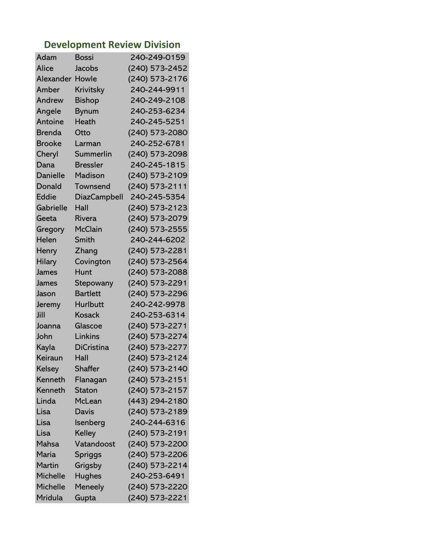## **Development Review Division**

| Adam            | Bossi               | 240-249-0159     |
|-----------------|---------------------|------------------|
| Alice           | Jacobs              | (240) 573-2452   |
| Alexander       | Howle               | (240) 573-2176   |
| Amber           | Krivitsky           | 240-244-9911     |
| Andrew          | <b>Bishop</b>       | 240-249-2108     |
| Angele          | <b>Bynum</b>        | 240-253-6234     |
| Antoine         | Heath               | 240-245-5251     |
| <b>Brenda</b>   | Otto                | (240) 573-2080   |
| <b>Brooke</b>   | Larman              | 240-252-6781     |
| Cheryl          | Summerlin           | (240) 573-2098   |
| Dana            | <b>Bressler</b>     | 240-245-1815     |
| Danielle        | <b>Madison</b>      | (240) 573-2109   |
| Donald          | Townsend            | (240) 573-2111   |
| Eddie           | <b>DiazCampbell</b> | 240-245-5354     |
| Gabrielle       | Hall                | (240) 573-2123   |
| Geeta           | Rivera              | (240) 573-2079   |
| Gregory         | <b>McClain</b>      | (240) 573-2555   |
| Helen           | Smith               | 240-244-6202     |
| Henry           | Zhang               | (240) 573-2281   |
| <b>Hilary</b>   | Covington           | (240) 573-2564   |
| James           | Hunt                | (240) 573-2088   |
| James           | Stepowany           | (240) 573-2291   |
| Jason           | <b>Bartlett</b>     | (240) 573-2296   |
| Jeremy          | <b>Hurlbutt</b>     | 240-242-9978     |
| Jill            | <b>Kosack</b>       | 240-253-6314     |
| Joanna          | Glascoe             | (240) 573-2271   |
| John            | Linkins             | (240) 573-2274   |
| Kayla           | <b>DiCristina</b>   | (240) 573-2277   |
| Keiraun         | Hall                | (240) 573-2124   |
| Kelsey          | <b>Shaffer</b>      | (240) 573-2140   |
| Kenneth         | Flanagan            | $(240)$ 573-2151 |
| Kenneth         | <b>Staton</b>       | (240) 573-2157   |
| Linda           | McLean              | (443) 294-2180   |
| Lisa            | <b>Davis</b>        | (240) 573-2189   |
| Lisa            | Isenberg            | 240-244-6316     |
| Lisa            | Kelley              | (240) 573-2191   |
| Mahsa           | Vatandoost          | (240) 573-2200   |
| Maria           | Spriggs             | (240) 573-2206   |
| <b>Martin</b>   | Grigsby             | (240) 573-2214   |
| <b>Michelle</b> | <b>Hughes</b>       | 240-253-6491     |
| <b>Michelle</b> | Meneely             | (240) 573-2220   |
| Mridula         | Gupta               | (240) 573-2221   |